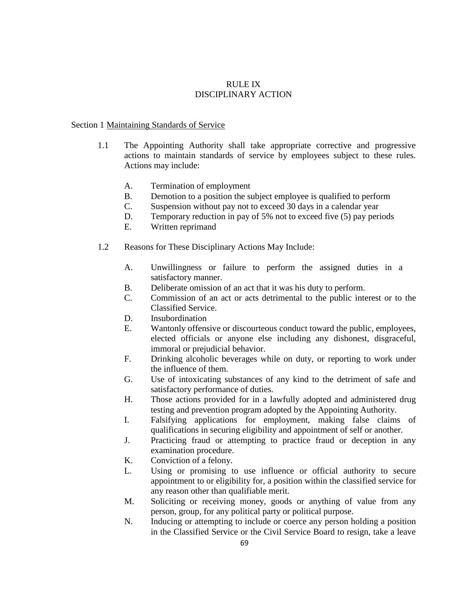## RULE IX DISCIPLINARY ACTION

## Section 1 Maintaining Standards of Service

- 1.1 The Appointing Authority shall take appropriate corrective and progressive actions to maintain standards of service by employees subject to these rules. Actions may include:
	- A. Termination of employment
	- B. Demotion to a position the subject employee is qualified to perform
	- C. Suspension without pay not to exceed 30 days in a calendar year
	- D. Temporary reduction in pay of 5% not to exceed five (5) pay periods
	- E. Written reprimand
- 1.2 Reasons for These Disciplinary Actions May Include:
	- A. Unwillingness or failure to perform the assigned duties in a satisfactory manner.
	- B. Deliberate omission of an act that it was his duty to perform.
	- C. Commission of an act or acts detrimental to the public interest or to the Classified Service.
	- D. Insubordination
	- E. Wantonly offensive or discourteous conduct toward the public, employees, elected officials or anyone else including any dishonest, disgraceful, immoral or prejudicial behavior.
	- F. Drinking alcoholic beverages while on duty, or reporting to work under the influence of them.
	- G. Use of intoxicating substances of any kind to the detriment of safe and satisfactory performance of duties.
	- H. Those actions provided for in a lawfully adopted and administered drug testing and prevention program adopted by the Appointing Authority.
	- I. Falsifying applications for employment, making false claims of qualifications in securing eligibility and appointment of self or another.
	- J. Practicing fraud or attempting to practice fraud or deception in any examination procedure.
	- K. Conviction of a felony.
	- L. Using or promising to use influence or official authority to secure appointment to or eligibility for, a position within the classified service for any reason other than qualifiable merit.
	- M. Soliciting or receiving money, goods or anything of value from any person, group, for any political party or political purpose.
	- N. Inducing or attempting to include or coerce any person holding a position in the Classified Service or the Civil Service Board to resign, take a leave